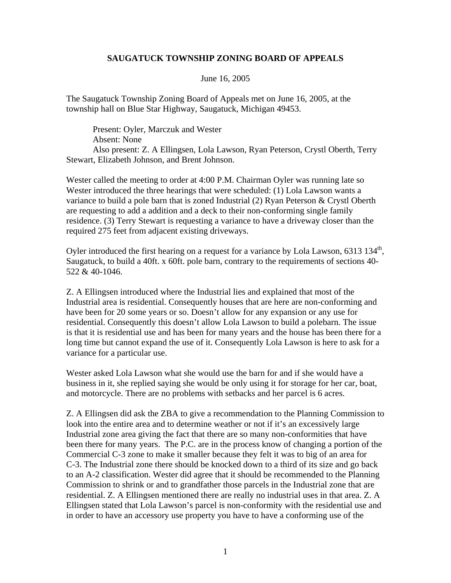## **SAUGATUCK TOWNSHIP ZONING BOARD OF APPEALS**

## June 16, 2005

The Saugatuck Township Zoning Board of Appeals met on June 16, 2005, at the township hall on Blue Star Highway, Saugatuck, Michigan 49453.

Present: Oyler, Marczuk and Wester Absent: None Also present: Z. A Ellingsen, Lola Lawson, Ryan Peterson, Crystl Oberth, Terry Stewart, Elizabeth Johnson, and Brent Johnson.

Wester called the meeting to order at 4:00 P.M. Chairman Oyler was running late so Wester introduced the three hearings that were scheduled: (1) Lola Lawson wants a variance to build a pole barn that is zoned Industrial (2) Ryan Peterson & Crystl Oberth are requesting to add a addition and a deck to their non-conforming single family residence. (3) Terry Stewart is requesting a variance to have a driveway closer than the required 275 feet from adjacent existing driveways.

Oyler introduced the first hearing on a request for a variance by Lola Lawson,  $6313\,134^{\text{th}}$ , Saugatuck, to build a 40ft. x 60ft. pole barn, contrary to the requirements of sections 40- 522 & 40-1046.

Z. A Ellingsen introduced where the Industrial lies and explained that most of the Industrial area is residential. Consequently houses that are here are non-conforming and have been for 20 some years or so. Doesn't allow for any expansion or any use for residential. Consequently this doesn't allow Lola Lawson to build a polebarn. The issue is that it is residential use and has been for many years and the house has been there for a long time but cannot expand the use of it. Consequently Lola Lawson is here to ask for a variance for a particular use.

Wester asked Lola Lawson what she would use the barn for and if she would have a business in it, she replied saying she would be only using it for storage for her car, boat, and motorcycle. There are no problems with setbacks and her parcel is 6 acres.

Z. A Ellingsen did ask the ZBA to give a recommendation to the Planning Commission to look into the entire area and to determine weather or not if it's an excessively large Industrial zone area giving the fact that there are so many non-conformities that have been there for many years. The P.C. are in the process know of changing a portion of the Commercial C-3 zone to make it smaller because they felt it was to big of an area for C-3. The Industrial zone there should be knocked down to a third of its size and go back to an A-2 classification. Wester did agree that it should be recommended to the Planning Commission to shrink or and to grandfather those parcels in the Industrial zone that are residential. Z. A Ellingsen mentioned there are really no industrial uses in that area. Z. A Ellingsen stated that Lola Lawson's parcel is non-conformity with the residential use and in order to have an accessory use property you have to have a conforming use of the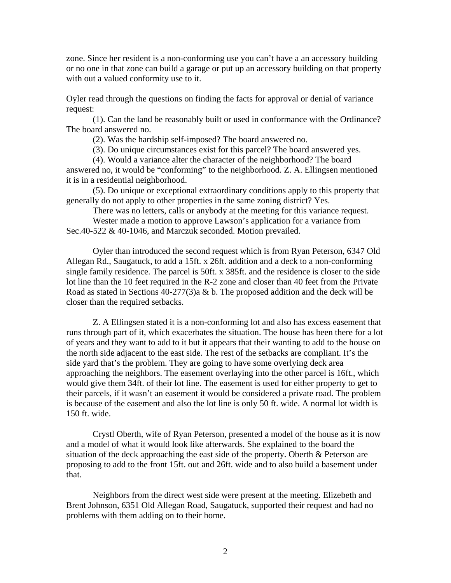zone. Since her resident is a non-conforming use you can't have a an accessory building or no one in that zone can build a garage or put up an accessory building on that property with out a valued conformity use to it.

Oyler read through the questions on finding the facts for approval or denial of variance request:

(1). Can the land be reasonably built or used in conformance with the Ordinance? The board answered no.

(2). Was the hardship self-imposed? The board answered no.

(3). Do unique circumstances exist for this parcel? The board answered yes.

(4). Would a variance alter the character of the neighborhood? The board answered no, it would be "conforming" to the neighborhood. Z. A. Ellingsen mentioned it is in a residential neighborhood.

(5). Do unique or exceptional extraordinary conditions apply to this property that generally do not apply to other properties in the same zoning district? Yes.

There was no letters, calls or anybody at the meeting for this variance request.

Wester made a motion to approve Lawson's application for a variance from Sec.40-522 & 40-1046, and Marczuk seconded. Motion prevailed.

Oyler than introduced the second request which is from Ryan Peterson, 6347 Old Allegan Rd., Saugatuck, to add a 15ft. x 26ft. addition and a deck to a non-conforming single family residence. The parcel is 50ft. x 385ft. and the residence is closer to the side lot line than the 10 feet required in the R-2 zone and closer than 40 feet from the Private Road as stated in Sections 40-277(3)a & b. The proposed addition and the deck will be closer than the required setbacks.

Z. A Ellingsen stated it is a non-conforming lot and also has excess easement that runs through part of it, which exacerbates the situation. The house has been there for a lot of years and they want to add to it but it appears that their wanting to add to the house on the north side adjacent to the east side. The rest of the setbacks are compliant. It's the side yard that's the problem. They are going to have some overlying deck area approaching the neighbors. The easement overlaying into the other parcel is 16ft., which would give them 34ft. of their lot line. The easement is used for either property to get to their parcels, if it wasn't an easement it would be considered a private road. The problem is because of the easement and also the lot line is only 50 ft. wide. A normal lot width is 150 ft. wide.

Crystl Oberth, wife of Ryan Peterson, presented a model of the house as it is now and a model of what it would look like afterwards. She explained to the board the situation of the deck approaching the east side of the property. Oberth & Peterson are proposing to add to the front 15ft. out and 26ft. wide and to also build a basement under that.

Neighbors from the direct west side were present at the meeting. Elizebeth and Brent Johnson, 6351 Old Allegan Road, Saugatuck, supported their request and had no problems with them adding on to their home.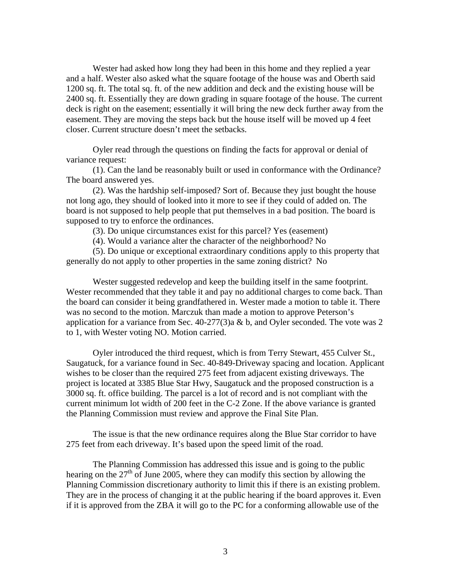Wester had asked how long they had been in this home and they replied a year and a half. Wester also asked what the square footage of the house was and Oberth said 1200 sq. ft. The total sq. ft. of the new addition and deck and the existing house will be 2400 sq. ft. Essentially they are down grading in square footage of the house. The current deck is right on the easement; essentially it will bring the new deck further away from the easement. They are moving the steps back but the house itself will be moved up 4 feet closer. Current structure doesn't meet the setbacks.

Oyler read through the questions on finding the facts for approval or denial of variance request:

(1). Can the land be reasonably built or used in conformance with the Ordinance? The board answered yes.

(2). Was the hardship self-imposed? Sort of. Because they just bought the house not long ago, they should of looked into it more to see if they could of added on. The board is not supposed to help people that put themselves in a bad position. The board is supposed to try to enforce the ordinances.

(3). Do unique circumstances exist for this parcel? Yes (easement)

(4). Would a variance alter the character of the neighborhood? No

(5). Do unique or exceptional extraordinary conditions apply to this property that generally do not apply to other properties in the same zoning district? No

Wester suggested redevelop and keep the building itself in the same footprint. Wester recommended that they table it and pay no additional charges to come back. Than the board can consider it being grandfathered in. Wester made a motion to table it. There was no second to the motion. Marczuk than made a motion to approve Peterson's application for a variance from Sec. 40-277(3)a & b, and Oyler seconded. The vote was 2 to 1, with Wester voting NO. Motion carried.

Oyler introduced the third request, which is from Terry Stewart, 455 Culver St., Saugatuck, for a variance found in Sec. 40-849-Driveway spacing and location. Applicant wishes to be closer than the required 275 feet from adjacent existing driveways. The project is located at 3385 Blue Star Hwy, Saugatuck and the proposed construction is a 3000 sq. ft. office building. The parcel is a lot of record and is not compliant with the current minimum lot width of 200 feet in the C-2 Zone. If the above variance is granted the Planning Commission must review and approve the Final Site Plan.

The issue is that the new ordinance requires along the Blue Star corridor to have 275 feet from each driveway. It's based upon the speed limit of the road.

The Planning Commission has addressed this issue and is going to the public hearing on the  $27<sup>th</sup>$  of June 2005, where they can modify this section by allowing the Planning Commission discretionary authority to limit this if there is an existing problem. They are in the process of changing it at the public hearing if the board approves it. Even if it is approved from the ZBA it will go to the PC for a conforming allowable use of the